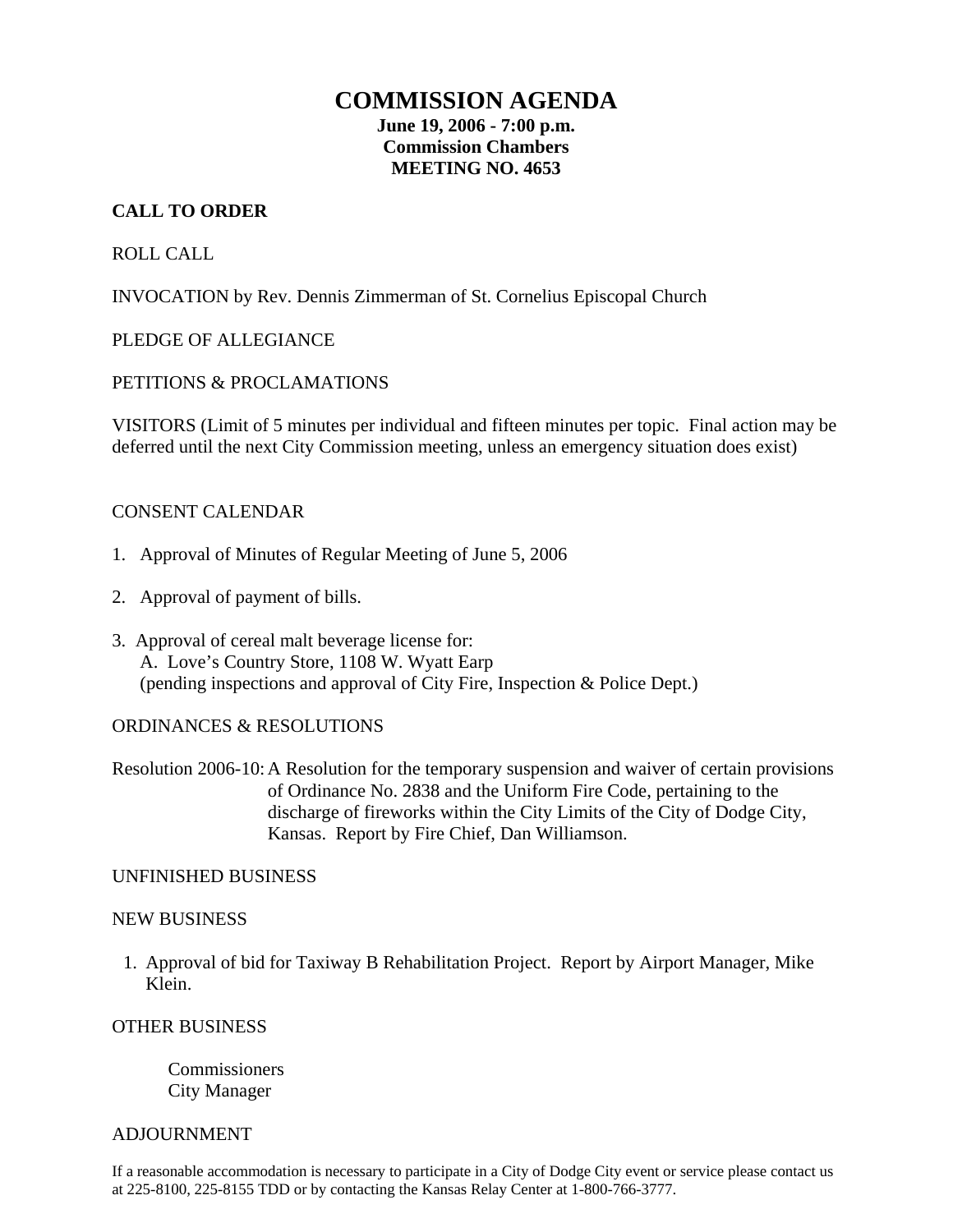# **COMMISSION AGENDA**

**June 19, 2006 - 7:00 p.m. Commission Chambers MEETING NO. 4653** 

# **CALL TO ORDER**

# ROLL CALL

INVOCATION by Rev. Dennis Zimmerman of St. Cornelius Episcopal Church

# PLEDGE OF ALLEGIANCE

# PETITIONS & PROCLAMATIONS

VISITORS (Limit of 5 minutes per individual and fifteen minutes per topic. Final action may be deferred until the next City Commission meeting, unless an emergency situation does exist)

# CONSENT CALENDAR

- 1. Approval of Minutes of Regular Meeting of June 5, 2006
- 2. Approval of payment of bills.
- 3. Approval of cereal malt beverage license for: A. Love's Country Store, 1108 W. Wyatt Earp (pending inspections and approval of City Fire, Inspection & Police Dept.)

# ORDINANCES & RESOLUTIONS

Resolution 2006-10: A Resolution for the temporary suspension and waiver of certain provisions of Ordinance No. 2838 and the Uniform Fire Code, pertaining to the discharge of fireworks within the City Limits of the City of Dodge City, Kansas. Report by Fire Chief, Dan Williamson.

#### UNFINISHED BUSINESS

#### NEW BUSINESS

1. Approval of bid for Taxiway B Rehabilitation Project. Report by Airport Manager, Mike Klein.

#### OTHER BUSINESS

Commissioners City Manager

#### **ADJOURNMENT**

If a reasonable accommodation is necessary to participate in a City of Dodge City event or service please contact us at 225-8100, 225-8155 TDD or by contacting the Kansas Relay Center at 1-800-766-3777.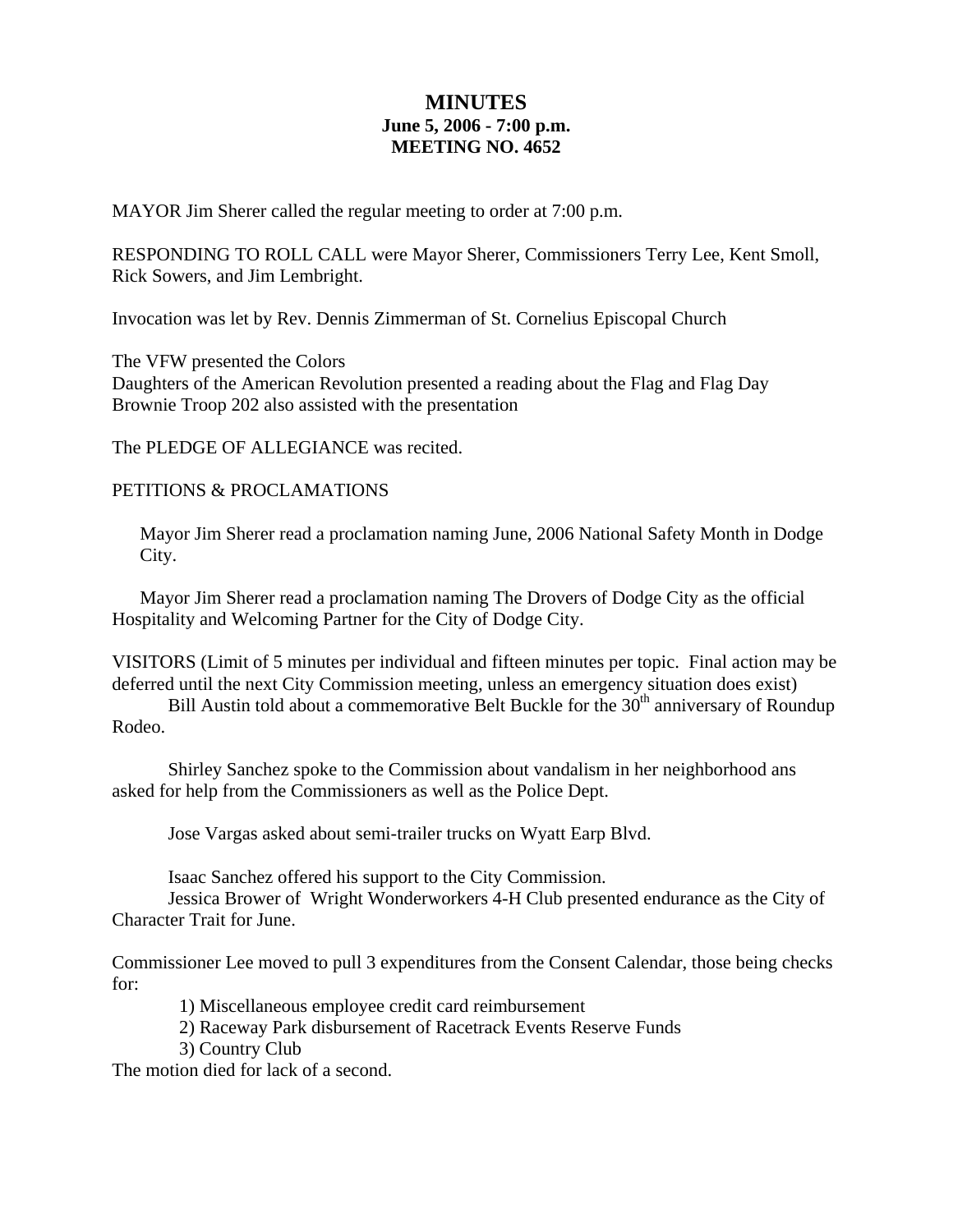# **MINUTES June 5, 2006 - 7:00 p.m. MEETING NO. 4652**

MAYOR Jim Sherer called the regular meeting to order at 7:00 p.m.

RESPONDING TO ROLL CALL were Mayor Sherer, Commissioners Terry Lee, Kent Smoll, Rick Sowers, and Jim Lembright.

Invocation was let by Rev. Dennis Zimmerman of St. Cornelius Episcopal Church

The VFW presented the Colors Daughters of the American Revolution presented a reading about the Flag and Flag Day Brownie Troop 202 also assisted with the presentation

The PLEDGE OF ALLEGIANCE was recited.

### PETITIONS & PROCLAMATIONS

Mayor Jim Sherer read a proclamation naming June, 2006 National Safety Month in Dodge City.

 Mayor Jim Sherer read a proclamation naming The Drovers of Dodge City as the official Hospitality and Welcoming Partner for the City of Dodge City.

VISITORS (Limit of 5 minutes per individual and fifteen minutes per topic. Final action may be deferred until the next City Commission meeting, unless an emergency situation does exist)

Bill Austin told about a commemorative Belt Buckle for the 30<sup>th</sup> anniversary of Roundup Rodeo.

 Shirley Sanchez spoke to the Commission about vandalism in her neighborhood ans asked for help from the Commissioners as well as the Police Dept.

Jose Vargas asked about semi-trailer trucks on Wyatt Earp Blvd.

Isaac Sanchez offered his support to the City Commission.

Jessica Brower of Wright Wonderworkers 4-H Club presented endurance as the City of Character Trait for June.

Commissioner Lee moved to pull 3 expenditures from the Consent Calendar, those being checks for:

1) Miscellaneous employee credit card reimbursement

2) Raceway Park disbursement of Racetrack Events Reserve Funds

3) Country Club

The motion died for lack of a second.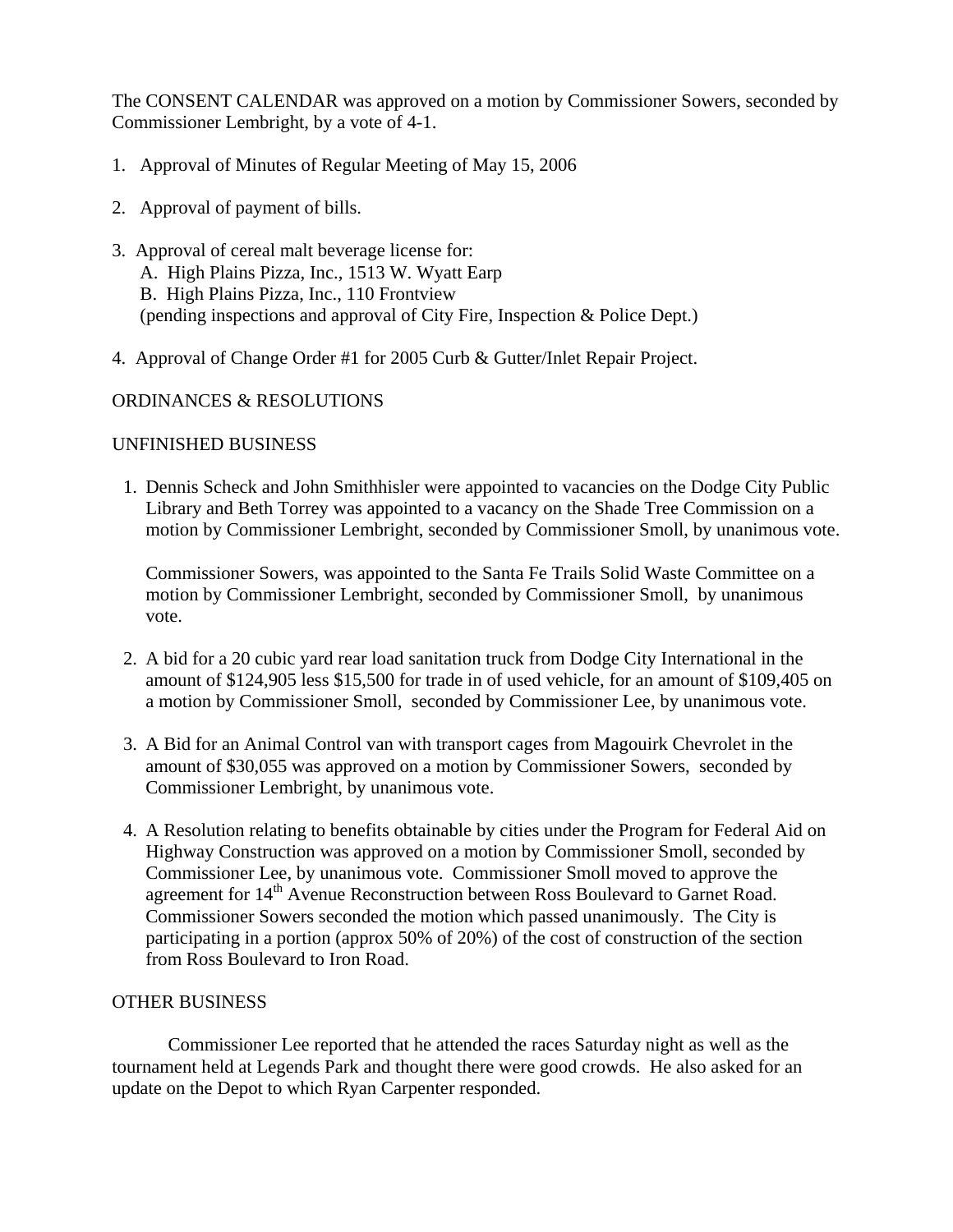The CONSENT CALENDAR was approved on a motion by Commissioner Sowers, seconded by Commissioner Lembright, by a vote of 4-1.

- 1. Approval of Minutes of Regular Meeting of May 15, 2006
- 2. Approval of payment of bills.
- 3. Approval of cereal malt beverage license for: A. High Plains Pizza, Inc., 1513 W. Wyatt Earp B. High Plains Pizza, Inc., 110 Frontview (pending inspections and approval of City Fire, Inspection & Police Dept.)
- 4. Approval of Change Order #1 for 2005 Curb & Gutter/Inlet Repair Project.

#### ORDINANCES & RESOLUTIONS

### UNFINISHED BUSINESS

1. Dennis Scheck and John Smithhisler were appointed to vacancies on the Dodge City Public Library and Beth Torrey was appointed to a vacancy on the Shade Tree Commission on a motion by Commissioner Lembright, seconded by Commissioner Smoll, by unanimous vote.

Commissioner Sowers, was appointed to the Santa Fe Trails Solid Waste Committee on a motion by Commissioner Lembright, seconded by Commissioner Smoll, by unanimous vote.

- 2. A bid for a 20 cubic yard rear load sanitation truck from Dodge City International in the amount of \$124,905 less \$15,500 for trade in of used vehicle, for an amount of \$109,405 on a motion by Commissioner Smoll, seconded by Commissioner Lee, by unanimous vote.
- 3. A Bid for an Animal Control van with transport cages from Magouirk Chevrolet in the amount of \$30,055 was approved on a motion by Commissioner Sowers, seconded by Commissioner Lembright, by unanimous vote.
- 4. A Resolution relating to benefits obtainable by cities under the Program for Federal Aid on Highway Construction was approved on a motion by Commissioner Smoll, seconded by Commissioner Lee, by unanimous vote. Commissioner Smoll moved to approve the agreement for 14<sup>th</sup> Avenue Reconstruction between Ross Boulevard to Garnet Road. Commissioner Sowers seconded the motion which passed unanimously. The City is participating in a portion (approx 50% of 20%) of the cost of construction of the section from Ross Boulevard to Iron Road.

#### OTHER BUSINESS

Commissioner Lee reported that he attended the races Saturday night as well as the tournament held at Legends Park and thought there were good crowds. He also asked for an update on the Depot to which Ryan Carpenter responded.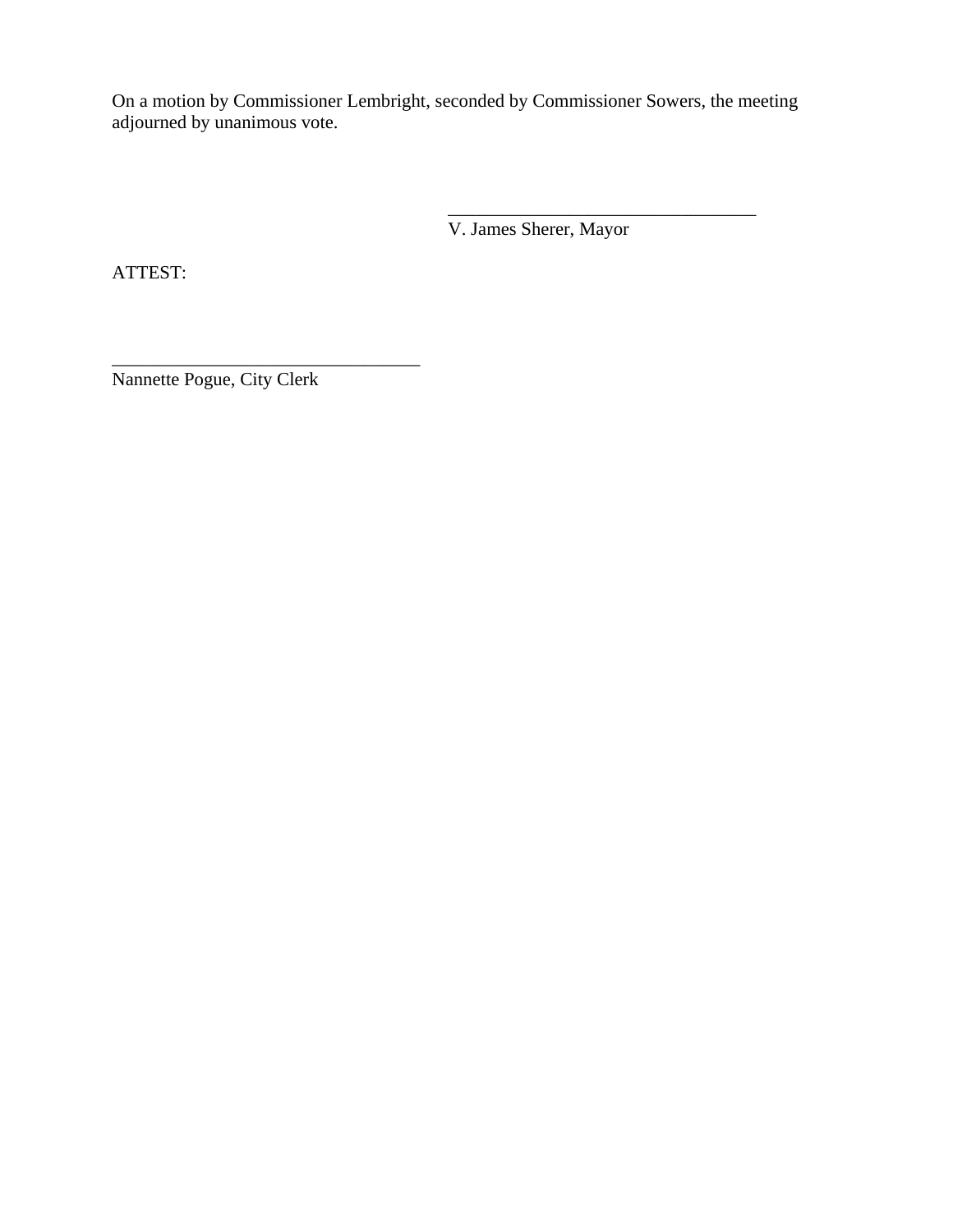On a motion by Commissioner Lembright, seconded by Commissioner Sowers, the meeting adjourned by unanimous vote.

 $\overline{\phantom{a}}$  , which is a set of the set of the set of the set of the set of the set of the set of the set of the set of the set of the set of the set of the set of the set of the set of the set of the set of the set of th

V. James Sherer, Mayor

ATTEST:

Nannette Pogue, City Clerk

\_\_\_\_\_\_\_\_\_\_\_\_\_\_\_\_\_\_\_\_\_\_\_\_\_\_\_\_\_\_\_\_\_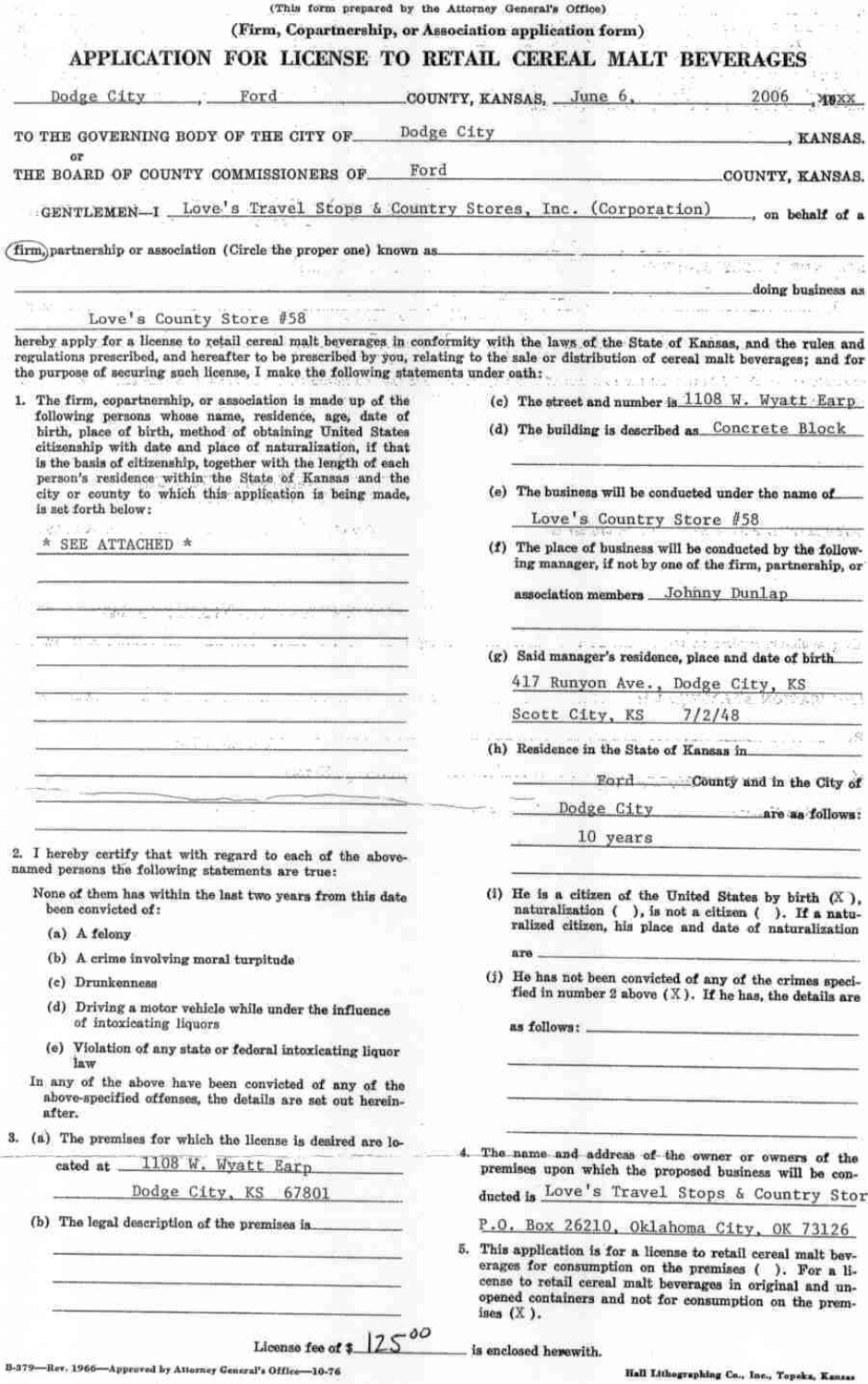| (This form prepared by the Attorney General's Office)                                                                                                                                                                                                                                                                                                          |            |                                                                                                                        |
|----------------------------------------------------------------------------------------------------------------------------------------------------------------------------------------------------------------------------------------------------------------------------------------------------------------------------------------------------------------|------------|------------------------------------------------------------------------------------------------------------------------|
| (Firm, Copartnership, or Association application form)                                                                                                                                                                                                                                                                                                         |            |                                                                                                                        |
| APPLICATION FOR LICENSE TO RETAIL CEREAL MALT BEVERAGES                                                                                                                                                                                                                                                                                                        |            |                                                                                                                        |
| Dodge City<br>Ford                                                                                                                                                                                                                                                                                                                                             |            | COUNTY, KANSAS, June 6,<br>2006                                                                                        |
| TO THE GOVERNING BODY OF THE CITY OF.                                                                                                                                                                                                                                                                                                                          | Dodge City | <u> 1980 - Jan James James, filozof e</u> sk<br>, KANSAS.                                                              |
| ōτ                                                                                                                                                                                                                                                                                                                                                             |            |                                                                                                                        |
| THE BOARD OF COUNTY COMMISSIONERS OF                                                                                                                                                                                                                                                                                                                           | Ford       | COUNTY, KANSAS.                                                                                                        |
| GENTLEMEN-I LOVE's Travel Stops & Country Stores, Inc. (Corporation), on behalf of a                                                                                                                                                                                                                                                                           |            |                                                                                                                        |
| (firm, partnership or association (Circle the proper one) known as                                                                                                                                                                                                                                                                                             |            |                                                                                                                        |
|                                                                                                                                                                                                                                                                                                                                                                |            | 1. 2008年1月                                                                                                             |
|                                                                                                                                                                                                                                                                                                                                                                |            | doing business as                                                                                                      |
| Love's County Store #58                                                                                                                                                                                                                                                                                                                                        |            | mann as ann an Saint-T                                                                                                 |
| hereby apply for a license to retail cereal malt beverages in conformity with the laws of the State of Kansas, and the rules and<br>regulations prescribed, and hereafter to be prescribed by you, relating to the sale or distribution of cereal malt beverages; and for<br>the purpose of securing such license, I make the following statements under oath: |            |                                                                                                                        |
| 1. The firm, copartnership, or association is made up of the                                                                                                                                                                                                                                                                                                   |            | (c) The street and number is $1108$ W. Wyatt Earp                                                                      |
| following persons whose name, residence, age, date of<br>birth, place of birth, method of obtaining United States<br>citizenship with date and place of naturalization, if that                                                                                                                                                                                |            | (d) The building is described as Concrete Block                                                                        |
| is the basis of citizenship, together with the length of each<br>person's residence within the State of Kansas and the                                                                                                                                                                                                                                         |            |                                                                                                                        |
| city or county to which this application is being made,                                                                                                                                                                                                                                                                                                        |            | (e) The business will be conducted under the name of                                                                   |
| is set forth below:<br>San Chi<br>25.12%                                                                                                                                                                                                                                                                                                                       |            | Love's Country Store #58                                                                                               |
| * SEE ATTACHED *                                                                                                                                                                                                                                                                                                                                               |            | (f) The place of business will be conducted by the follow-<br>ing manager, if not by one of the firm, partnership, or  |
|                                                                                                                                                                                                                                                                                                                                                                |            | association members Johnny Dunlap                                                                                      |
|                                                                                                                                                                                                                                                                                                                                                                |            |                                                                                                                        |
|                                                                                                                                                                                                                                                                                                                                                                |            | . 1934. advanced the consultance, 2010.<br>(g) Said manager's residence, place and date of birth                       |
|                                                                                                                                                                                                                                                                                                                                                                |            | 417 Runyon Ave., Dodge City, KS                                                                                        |
|                                                                                                                                                                                                                                                                                                                                                                |            | <b>MALIAN STAR</b><br>Scott City, KS 7/2/48                                                                            |
| $\frac{1}{2}$ = $\frac{1}{2}$ = $\frac{1}{2}$ = $\frac{1}{2}$ = $\frac{1}{2}$ = $\frac{1}{2}$ = $\frac{1}{2}$ = $\frac{1}{2}$ = $\frac{1}{2}$                                                                                                                                                                                                                  |            |                                                                                                                        |
|                                                                                                                                                                                                                                                                                                                                                                |            | (h) Residence in the State of Kansas in                                                                                |
|                                                                                                                                                                                                                                                                                                                                                                |            | Ford County and in the City of                                                                                         |
|                                                                                                                                                                                                                                                                                                                                                                |            | Dodge City are as follows:                                                                                             |
|                                                                                                                                                                                                                                                                                                                                                                |            | 10 years                                                                                                               |
| I hereby certify that with regard to each of the above-<br>named persons the following statements are true:                                                                                                                                                                                                                                                    |            |                                                                                                                        |
| None of them has within the last two years from this date<br>been convicted of:                                                                                                                                                                                                                                                                                |            | (i) He is a citizen of the United States by birth $(X)$ ,<br>naturalization ( ), is not a citizen ( ). If a natu-      |
| (a) A felony                                                                                                                                                                                                                                                                                                                                                   |            | ralized citizen, his place and date of naturalization                                                                  |
| (b) A crime involving moral turpitude                                                                                                                                                                                                                                                                                                                          |            | ara                                                                                                                    |
| (c) Drunkenness                                                                                                                                                                                                                                                                                                                                                |            | (j) He has not been convicted of any of the crimes speci-<br>fied in number 2 above $(X)$ . If he has, the details are |
| (d) Driving a motor vehicle while under the influence<br>of intoxicating liquors                                                                                                                                                                                                                                                                               |            | as follows: _                                                                                                          |
| (e) Violation of any state or federal intoxicating liquor<br>law                                                                                                                                                                                                                                                                                               |            |                                                                                                                        |
| In any of the above have been convicted of any of the<br>above-specified offenses, the details are set out herein-<br>after.                                                                                                                                                                                                                                   |            |                                                                                                                        |
| 3. (a) The premises for which the license is desired are lo-                                                                                                                                                                                                                                                                                                   |            |                                                                                                                        |

4. The name and address of the owner or owners of the premises upon which the proposed business will be conducted is Love's Travel Stops & Country Stor

P.O. Box 26210, Oklahoma City, OK 73126

5. This application is for a license to retail cereal malt beverages for consumption on the premises (). For a license to retail cereal malt beverages in original and unopened containers and not for consumption on the premises (X).

is enclosed herewith.

Hall Lithographing Co., Inc., Topoka, Kansas

 $12500$ License fee of \$\_

B-379-Rev. 1966-Approved by Attorney Ceneral's Office-10-76

(b) The legal description of the premises is\_

cated at

1108 W. Wyatt Earp

Dodge City, KS 67801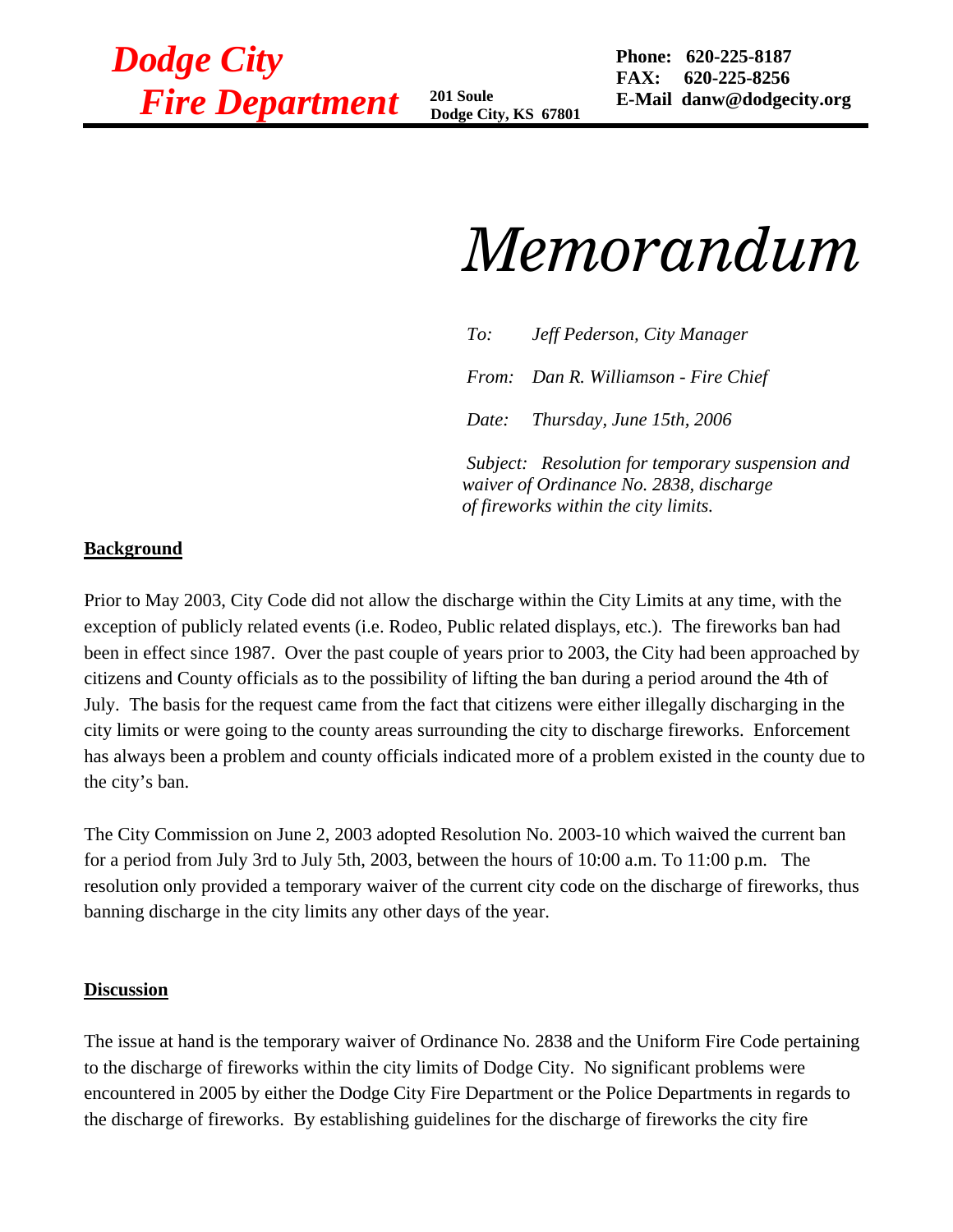*Dodge City Fire Department* **201 Soule** 

 **Dodge City, KS 67801**

 **Phone: 620-225-8187 FAX: 620-225-8256 E-Mail danw@dodgecity.org**

# *Memorandum*

 *To: Jeff Pederson, City Manager From: Dan R. Williamson - Fire Chief Date: Thursday, June 15th, 2006 Subject: Resolution for temporary suspension and* 

*waiver of Ordinance No. 2838, discharge of fireworks within the city limits.* 

### **Background**

Prior to May 2003, City Code did not allow the discharge within the City Limits at any time, with the exception of publicly related events (i.e. Rodeo, Public related displays, etc.). The fireworks ban had been in effect since 1987. Over the past couple of years prior to 2003, the City had been approached by citizens and County officials as to the possibility of lifting the ban during a period around the 4th of July. The basis for the request came from the fact that citizens were either illegally discharging in the city limits or were going to the county areas surrounding the city to discharge fireworks. Enforcement has always been a problem and county officials indicated more of a problem existed in the county due to the city's ban.

The City Commission on June 2, 2003 adopted Resolution No. 2003-10 which waived the current ban for a period from July 3rd to July 5th, 2003, between the hours of 10:00 a.m. To 11:00 p.m. The resolution only provided a temporary waiver of the current city code on the discharge of fireworks, thus banning discharge in the city limits any other days of the year.

#### **Discussion**

The issue at hand is the temporary waiver of Ordinance No. 2838 and the Uniform Fire Code pertaining to the discharge of fireworks within the city limits of Dodge City. No significant problems were encountered in 2005 by either the Dodge City Fire Department or the Police Departments in regards to the discharge of fireworks. By establishing guidelines for the discharge of fireworks the city fire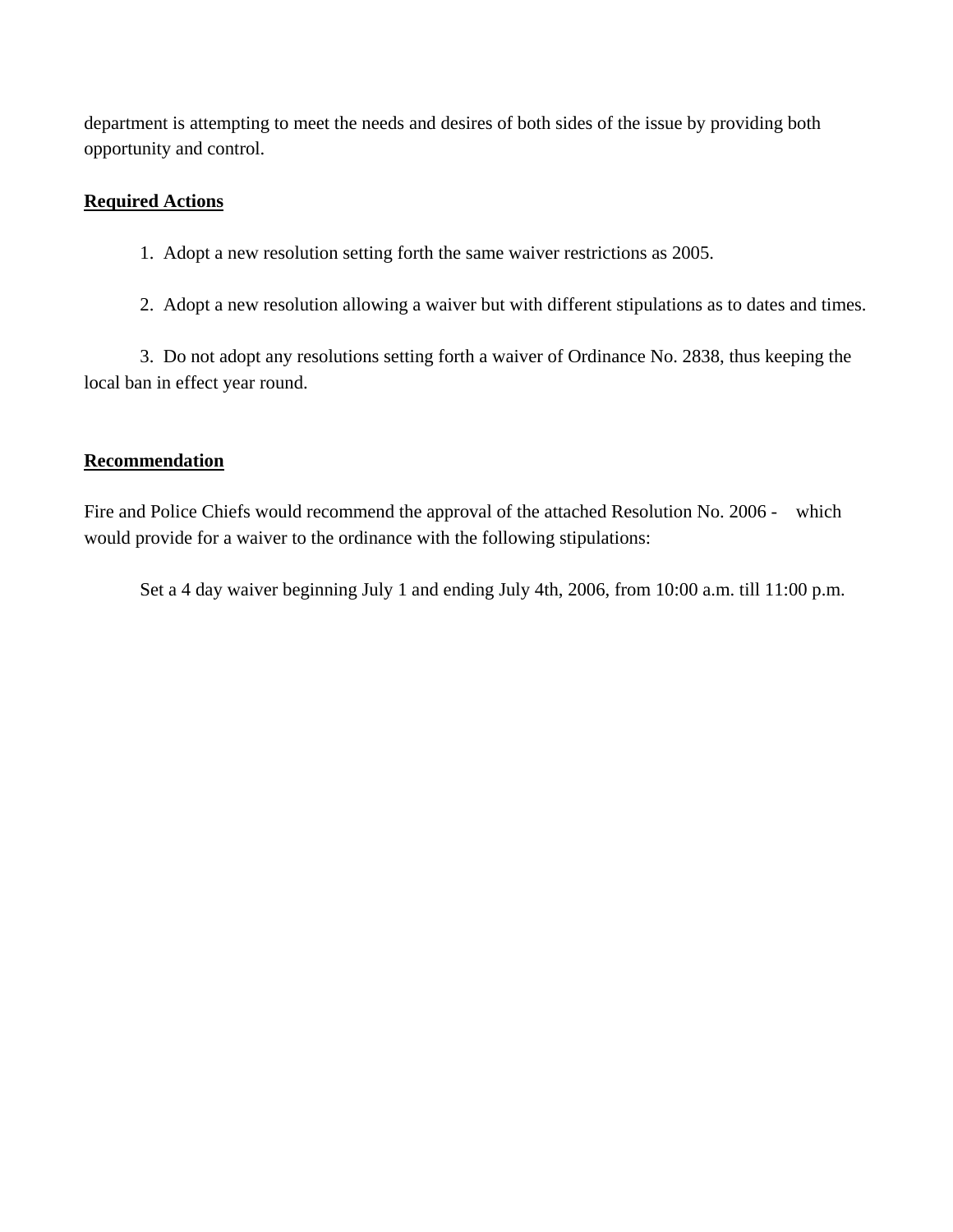department is attempting to meet the needs and desires of both sides of the issue by providing both opportunity and control.

### **Required Actions**

- 1. Adopt a new resolution setting forth the same waiver restrictions as 2005.
- 2. Adopt a new resolution allowing a waiver but with different stipulations as to dates and times.

 3. Do not adopt any resolutions setting forth a waiver of Ordinance No. 2838, thus keeping the local ban in effect year round.

### **Recommendation**

Fire and Police Chiefs would recommend the approval of the attached Resolution No. 2006 - which would provide for a waiver to the ordinance with the following stipulations:

Set a 4 day waiver beginning July 1 and ending July 4th, 2006, from 10:00 a.m. till 11:00 p.m.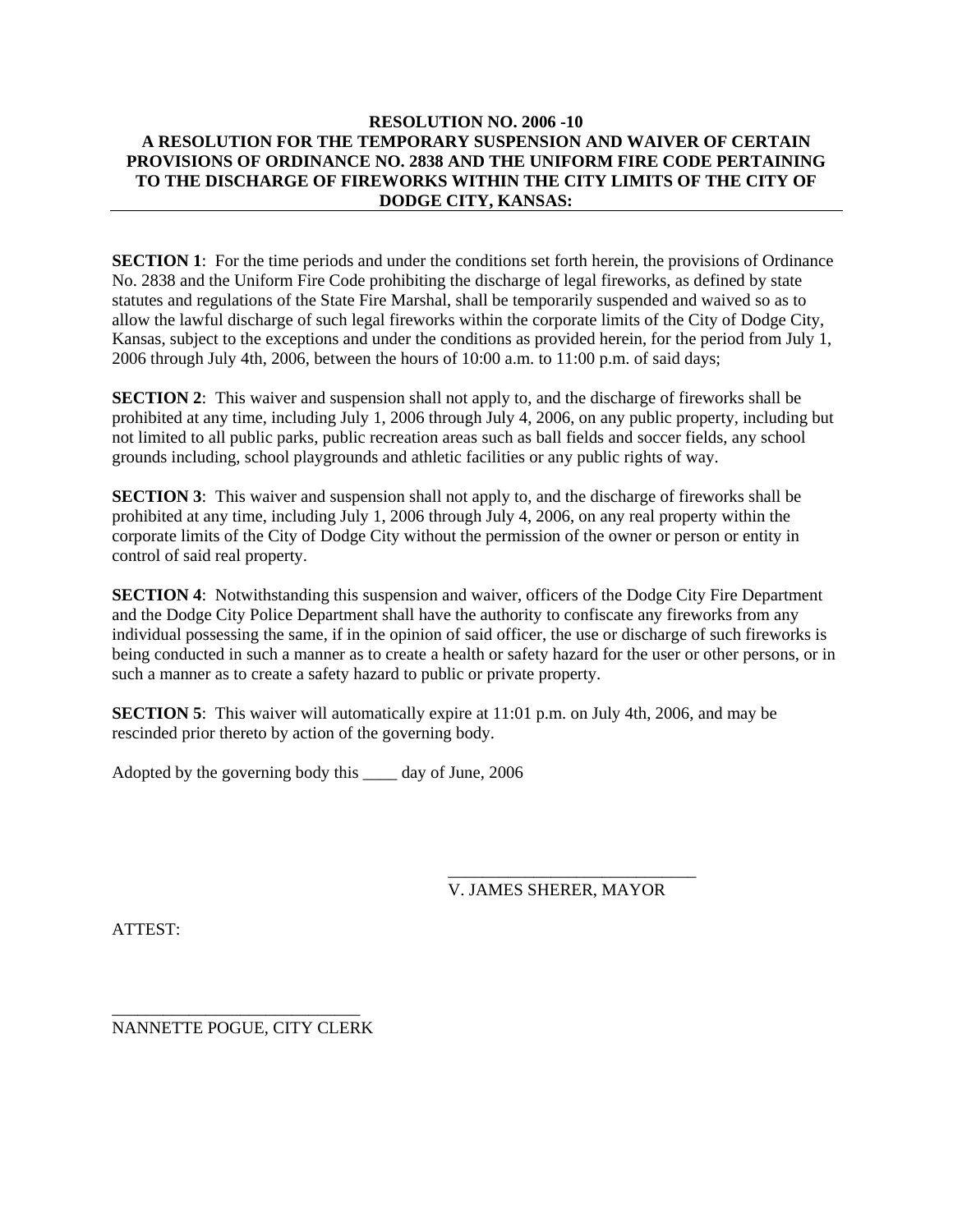#### **RESOLUTION NO. 2006 -10 A RESOLUTION FOR THE TEMPORARY SUSPENSION AND WAIVER OF CERTAIN PROVISIONS OF ORDINANCE NO. 2838 AND THE UNIFORM FIRE CODE PERTAINING TO THE DISCHARGE OF FIREWORKS WITHIN THE CITY LIMITS OF THE CITY OF DODGE CITY, KANSAS:**

**SECTION 1**: For the time periods and under the conditions set forth herein, the provisions of Ordinance No. 2838 and the Uniform Fire Code prohibiting the discharge of legal fireworks, as defined by state statutes and regulations of the State Fire Marshal, shall be temporarily suspended and waived so as to allow the lawful discharge of such legal fireworks within the corporate limits of the City of Dodge City, Kansas, subject to the exceptions and under the conditions as provided herein, for the period from July 1, 2006 through July 4th, 2006, between the hours of 10:00 a.m. to 11:00 p.m. of said days;

**SECTION 2:** This waiver and suspension shall not apply to, and the discharge of fireworks shall be prohibited at any time, including July 1, 2006 through July 4, 2006, on any public property, including but not limited to all public parks, public recreation areas such as ball fields and soccer fields, any school grounds including, school playgrounds and athletic facilities or any public rights of way.

**SECTION 3**: This waiver and suspension shall not apply to, and the discharge of fireworks shall be prohibited at any time, including July 1, 2006 through July 4, 2006, on any real property within the corporate limits of the City of Dodge City without the permission of the owner or person or entity in control of said real property.

**SECTION 4:** Notwithstanding this suspension and waiver, officers of the Dodge City Fire Department and the Dodge City Police Department shall have the authority to confiscate any fireworks from any individual possessing the same, if in the opinion of said officer, the use or discharge of such fireworks is being conducted in such a manner as to create a health or safety hazard for the user or other persons, or in such a manner as to create a safety hazard to public or private property.

**SECTION 5**: This waiver will automatically expire at 11:01 p.m. on July 4th, 2006, and may be rescinded prior thereto by action of the governing body.

 $\overline{\phantom{a}}$  , and the contract of the contract of the contract of the contract of the contract of the contract of the contract of the contract of the contract of the contract of the contract of the contract of the contrac

Adopted by the governing body this \_\_\_\_ day of June, 2006

V. JAMES SHERER, MAYOR

ATTEST:

\_\_\_\_\_\_\_\_\_\_\_\_\_\_\_\_\_\_\_\_\_\_\_\_\_\_\_\_\_ NANNETTE POGUE, CITY CLERK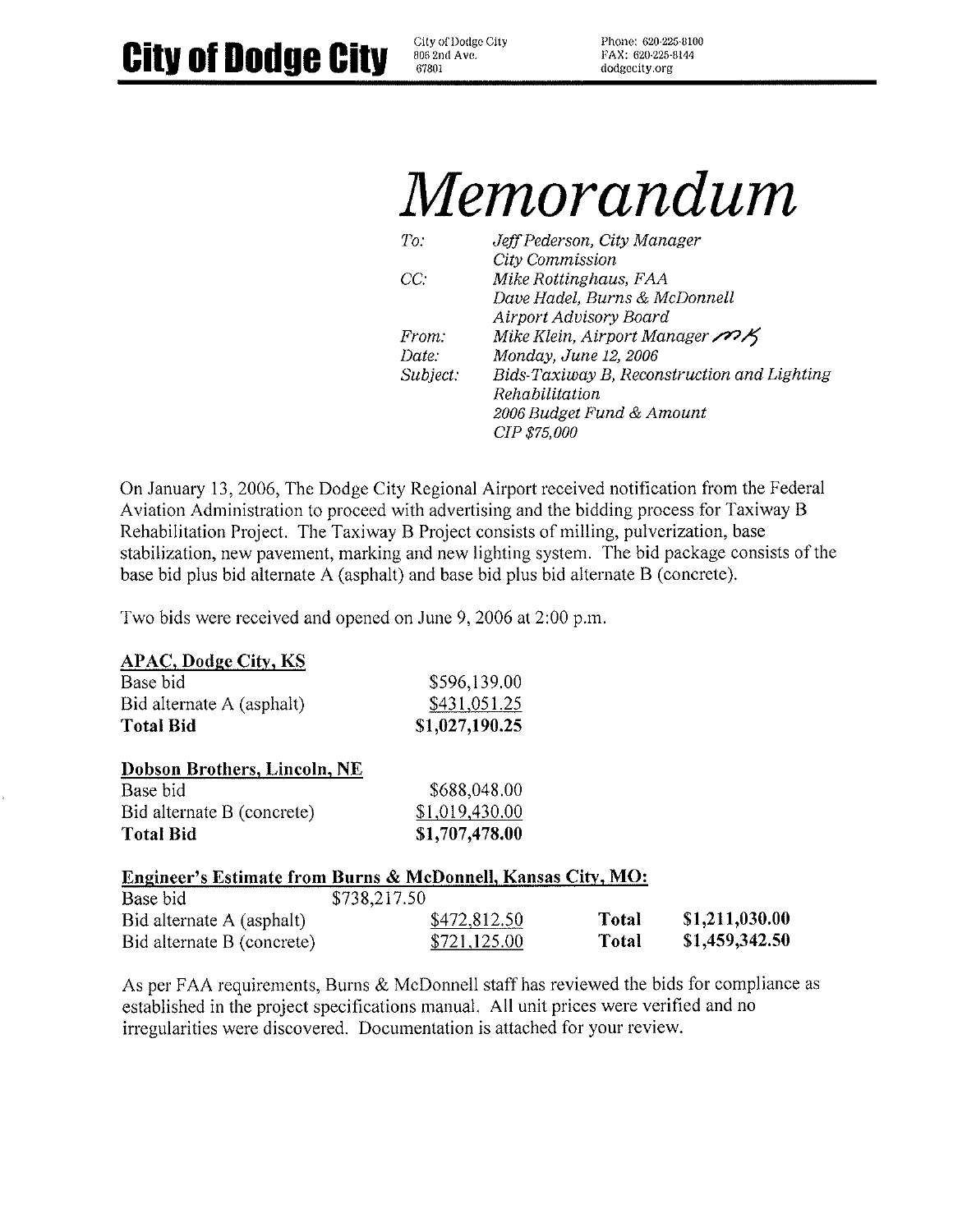City of Dodge City 806 2nd Ave. 67801

Phone: 620-225-8100 FAX: 620-225-8144 dodgecity.org

# Memorandum

| To:      | Jeff Pederson, City Manager                          |
|----------|------------------------------------------------------|
|          | City Commission                                      |
| CC:      | Mike Rottinghaus, FAA                                |
|          | Dave Hadel, Burns & McDonnell                        |
|          | Airport Advisory Board                               |
| From:    | Mike Klein, Airport Manager $\mathscr{P}\mathscr{X}$ |
| Date:    | Monday, June 12, 2006                                |
| Subject: | Bids-Taxiway B, Reconstruction and Lighting          |
|          | Rehabilitation                                       |
|          | 2006 Budget Fund & Amount                            |
|          | <i>CIP \$75,000</i>                                  |

On January 13, 2006, The Dodge City Regional Airport received notification from the Federal Aviation Administration to proceed with advertising and the bidding process for Taxiway B Rehabilitation Project. The Taxiway B Project consists of milling, pulverization, base stabilization, new pavement, marking and new lighting system. The bid package consists of the base bid plus bid alternate A (asphalt) and base bid plus bid alternate B (concrete).

Two bids were received and opened on June 9, 2006 at 2:00 p.m.

# **APAC, Dodge City, KS**

| Base bid                  | \$596,139.00   |
|---------------------------|----------------|
| Bid alternate A (asphalt) | \$431,051.25   |
| <b>Total Bid</b>          | \$1,027,190.25 |

#### **Dobson Brothers, Lincoln, NE**

| Base bid                   | \$688,048.00   |
|----------------------------|----------------|
| Bid alternate B (concrete) | \$1,019,430.00 |
| <b>Total Bid</b>           | \$1,707,478.00 |

#### Engineer's Estimate from Burns & McDonnell, Kansas City, MO:

| Base bid                   | \$738,217.50 |       |                |
|----------------------------|--------------|-------|----------------|
| Bid alternate A (asphalt)  | \$472,812.50 | Total | \$1,211,030.00 |
| Bid alternate B (concrete) | \$721,125.00 | Total | \$1,459,342.50 |

As per FAA requirements, Burns & McDonnell staff has reviewed the bids for compliance as established in the project specifications manual. All unit prices were verified and no irregularities were discovered. Documentation is attached for your review.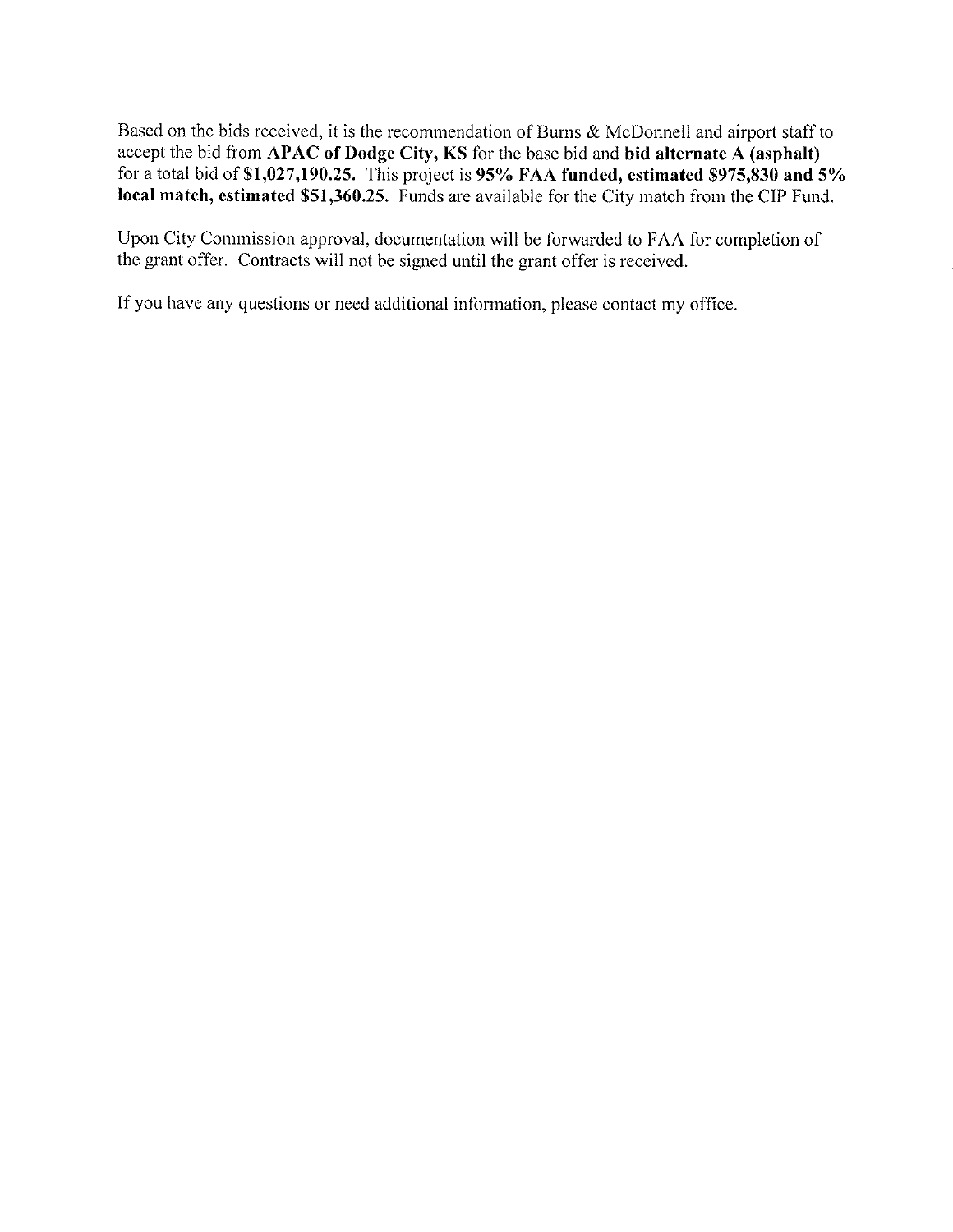Based on the bids received, it is the recommendation of Burns & McDonnell and airport staff to accept the bid from APAC of Dodge City, KS for the base bid and bid alternate A (asphalt) for a total bid of \$1,027,190.25. This project is 95% FAA funded, estimated \$975,830 and  $5\%$ local match, estimated \$51,360.25. Funds are available for the City match from the CIP Fund.

Upon City Commission approval, documentation will be forwarded to FAA for completion of the grant offer. Contracts will not be signed until the grant offer is received.

If you have any questions or need additional information, please contact my office.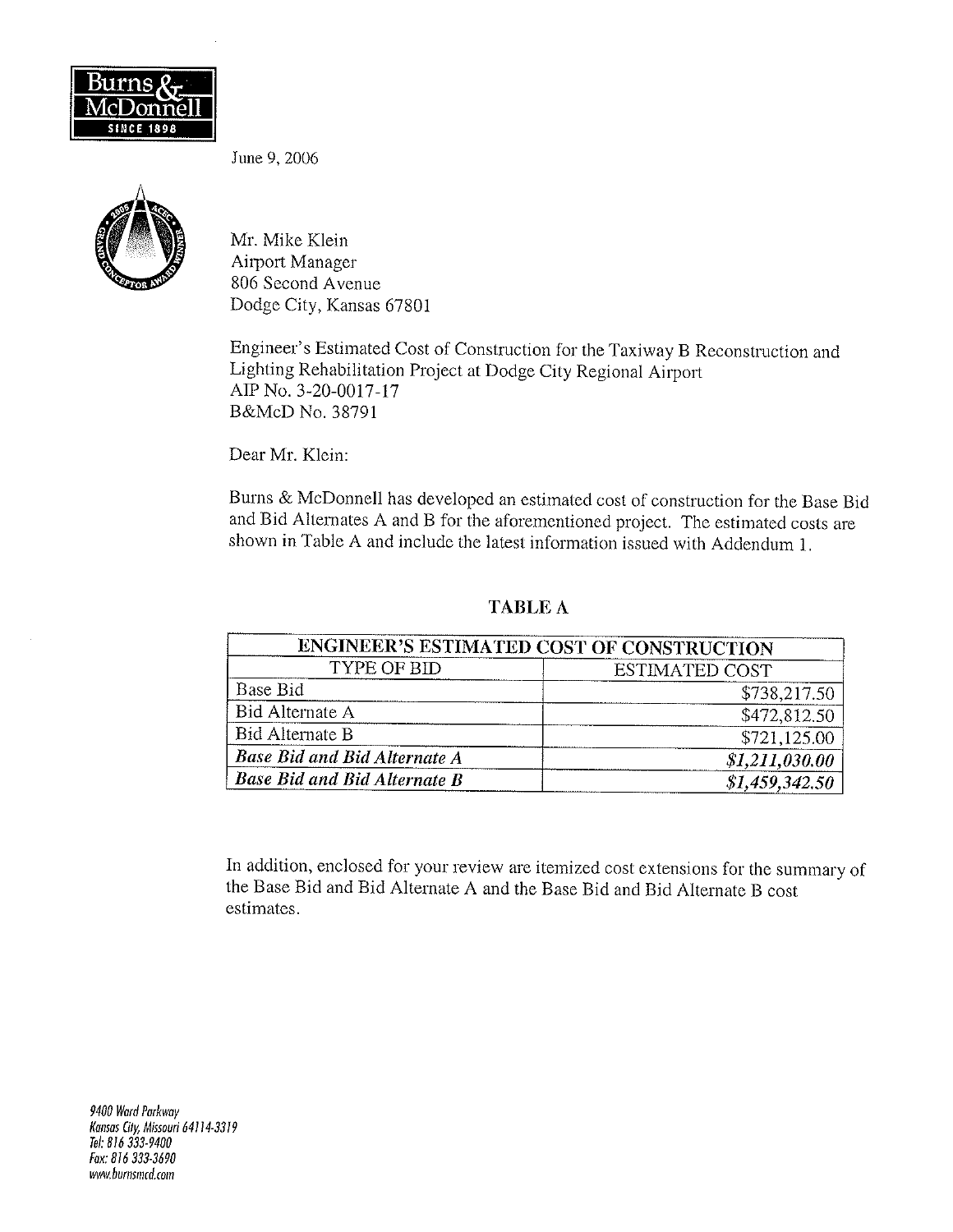

June 9, 2006



Mr. Mike Klein Airport Manager 806 Second Avenue Dodge City, Kansas 67801

Engineer's Estimated Cost of Construction for the Taxiway B Reconstruction and Lighting Rehabilitation Project at Dodge City Regional Airport AIP No. 3-20-0017-17 B&McD No. 38791

Dear Mr. Klein:

Burns & McDonnell has developed an estimated cost of construction for the Base Bid and Bid Alternates A and B for the aforementioned project. The estimated costs are shown in Table A and include the latest information issued with Addendum 1.

### **TABLE A**

|                                     | ENGINEER'S ESTIMATED COST OF CONSTRUCTION |
|-------------------------------------|-------------------------------------------|
| TYPE OF BID                         | <b>ESTIMATED COST</b>                     |
| Base Bid                            | \$738,217.50                              |
| Bid Alternate A                     | \$472,812.50                              |
| Bid Alternate B                     | \$721,125.00                              |
| <b>Base Bid and Bid Alternate A</b> | \$1,211,030.00                            |
| <b>Base Bid and Bid Alternate B</b> | \$1,459,342.50                            |

In addition, enclosed for your review are itemized cost extensions for the summary of the Base Bid and Bid Alternate A and the Base Bid and Bid Alternate B cost estimates.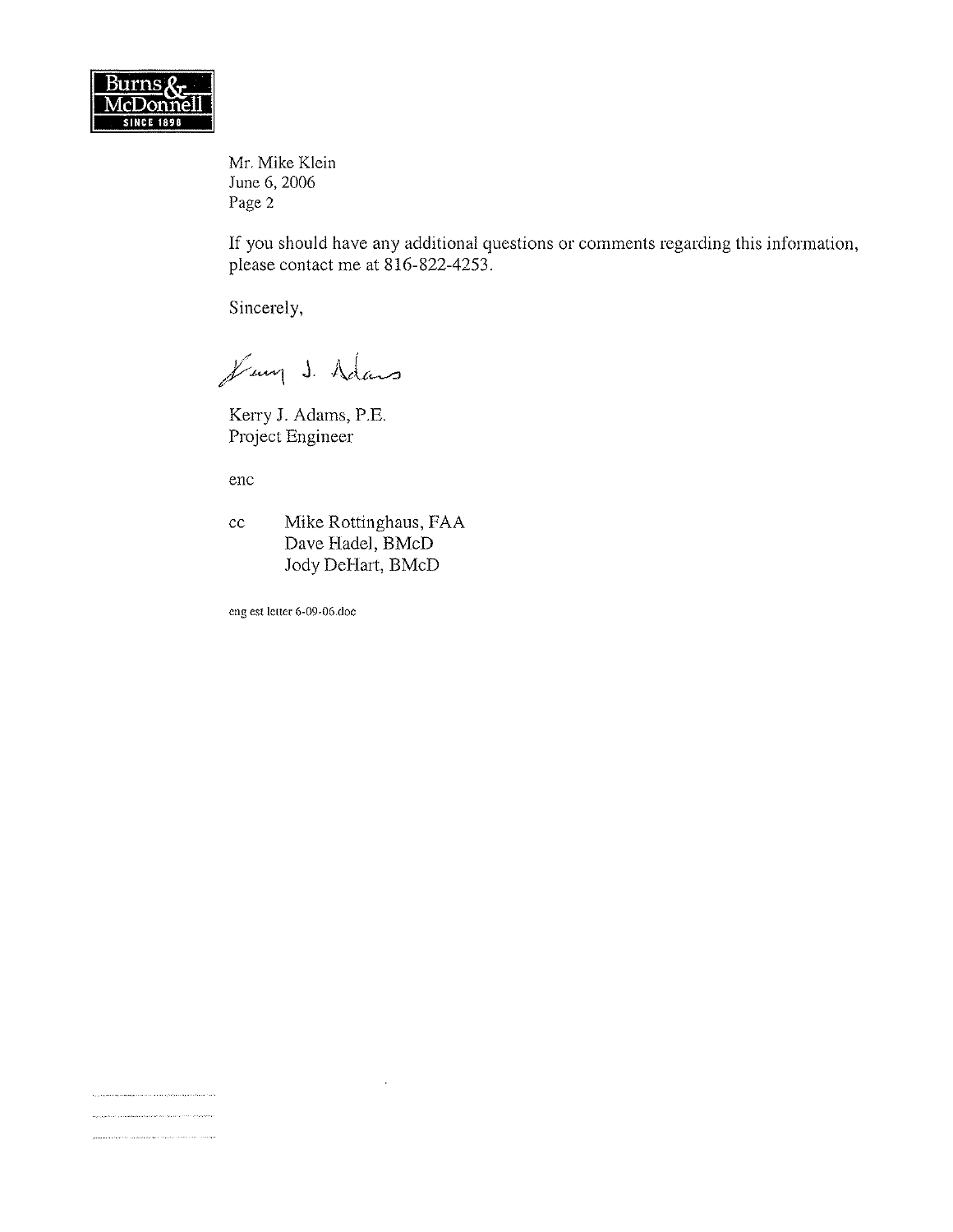

Mr. Mike Klein June 6, 2006 Page 2

If you should have any additional questions or comments regarding this information, please contact me at 816-822-4253.

Sincerely,

Jung J. Adams

Kerry J. Adams, P.E. Project Engineer

enc

والمتحمد والمتحدث والمتعرف والمتحد المتعاطي والمتهور والمتحدث .<br>Izan za zamienie do za na zamieniem przez przez przez przez przez przez przez przez przez przez przez przez pr .<br>2000 - 2000 - 2000 - 2000 - 2000 - 2000 - 2000 - 2000 - 2000 - 2000 - 2000 - 2000 - 2000 - 2000 - 2000 - 2000

Mike Rottinghaus, FAA  $cc$ Dave Hadel, BMcD Jody DeHart, BMcD

eng est letter 6-09-06.doc